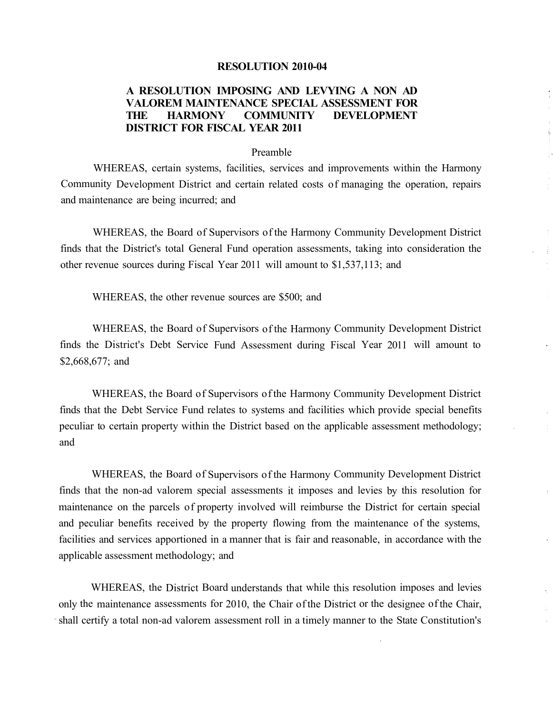## **RESOLUTION 2010-04**

## **A RESOLUTION IMPOSING AND LEVYING A NON AD V ALOREM MAINTENANCE SPECIAL ASSESSMENT FOR THE HARMONY COMMUNITY DEVELOPMENT DISTRICT FOR FISCAL YEAR 2011**

## Preamble

WHEREAS, certain systems, facilities, services and improvements within the Harmony Community Development District and certain related costs of managing the operation, repairs and maintenance are being incurred; and

WHEREAS, the Board of Supervisors of the Harmony Community Development District finds that the District's total General Fund operation assessments, taking into consideration the other revenue sources during Fiscal Year 2011 will amount to \$1,537,113; and

WHEREAS, the other revenue sources are \$500; and

WHEREAS, the Board of Supervisors of the Harmony Community Development District finds the District's Debt Service Fund Assessment during Fiscal Year 2011 will amount to \$2,668,677; and

WHEREAS, the Board of Supervisors of the Harmony Community Development District finds that the Debt Service Fund relates to systems and facilities which provide special benefits peculiar to certain property within the District based on the applicable assessment methodology; and

WHEREAS, the Board of Supervisors of the Harmony Community Development District finds that the non-ad valorem special assessments it imposes and levies by this resolution for maintenance on the parcels of property involved will reimburse the District for certain special and peculiar benefits received by the property flowing from the maintenance of the systems, facilities and services apportioned in a manner that is fair and reasonable, in accordance with the applicable assessment methodology; and

÷

WHEREAS, the District Board understands that while this resolution imposes and levies only the maintenance assessments for 2010, the Chair of the District or the designee of the Chair, shall certify a total non-ad valorem assessment roll in a timely manner to the State Constitution's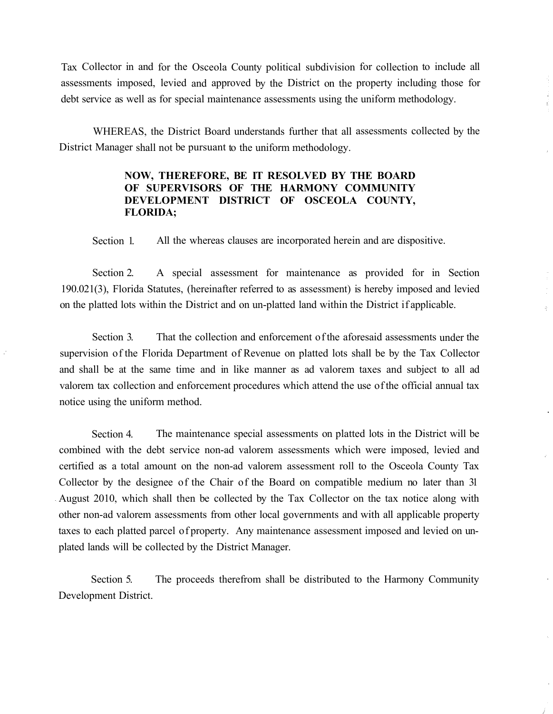Tax Collector in and for the Osceola County political subdivision for collection to include all assessments imposed, levied and approved by the District on the property including those for debt service as well as for special maintenance assessments using the uniform methodology.

WHEREAS, the District Board understands further that all assessments collected by the District Manager shall not be pursuant to the uniform methodology.

## **NOW, THEREFORE, BE IT RESOLVED BY THE BOARD OF SUPERVISORS OF THE HARMONY COMMUNITY DEVELOPMENT DISTRICT OF OSCEOLA COUNTY, FLORIDA;**

Section 1. All the whereas clauses are incorporated herein and are dispositive.

Section 2. A special assessment for maintenance as provided for in Section 190.021(3), Florida Statutes, (hereinafter referred to as assessment) is hereby imposed and levied on the platted lots within the District and on un-platted land within the District if applicable.

 $\hat{\omega}$ 

Section 3. That the collection and enforcement of the aforesaid assessments under the supervision of the Florida Department of Revenue on platted lots shall be by the Tax Collector and shall be at the same time and in like manner as ad valorem taxes and subject to all ad valorem tax collection and enforcement procedures which attend the use of the official annual tax notice using the uniform method.

Section 4. The maintenance special assessments on platted lots in the District will be combined with the debt service non-ad valorem assessments which were imposed, levied and certified as a total amount on the non-ad valorem assessment roll to the Osceola County Tax Collector by the designee of the Chair of the Board on compatible medium no later than 31 August 2010, which shall then be collected by the Tax Collector on the tax notice along with other non-ad valorem assessments from other local governments and with all applicable property taxes to each platted parcel of property. Any maintenance assessment imposed and levied on unplated lands will be collected by the District Manager.

Section 5. The proceeds therefrom shall be distributed to the Harmony Community Development District.